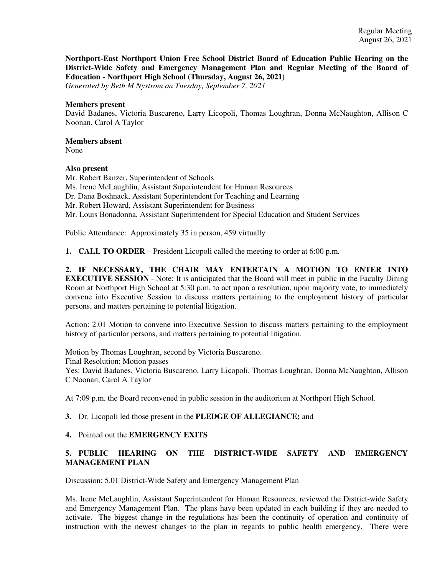**Northport-East Northport Union Free School District Board of Education Public Hearing on the District-Wide Safety and Emergency Management Plan and Regular Meeting of the Board of Education - Northport High School (Thursday, August 26, 2021)**

*Generated by Beth M Nystrom on Tuesday, September 7, 2021*

#### **Members present**

David Badanes, Victoria Buscareno, Larry Licopoli, Thomas Loughran, Donna McNaughton, Allison C Noonan, Carol A Taylor

## **Members absent**

None

## **Also present**

Mr. Robert Banzer, Superintendent of Schools Ms. Irene McLaughlin, Assistant Superintendent for Human Resources Dr. Dana Boshnack, Assistant Superintendent for Teaching and Learning Mr. Robert Howard, Assistant Superintendent for Business Mr. Louis Bonadonna, Assistant Superintendent for Special Education and Student Services

Public Attendance: Approximately 35 in person, 459 virtually

**1. CALL TO ORDER** – President Licopoli called the meeting to order at 6:00 p.m.

**2. IF NECESSARY, THE CHAIR MAY ENTERTAIN A MOTION TO ENTER INTO EXECUTIVE SESSION** - Note: It is anticipated that the Board will meet in public in the Faculty Dining Room at Northport High School at 5:30 p.m. to act upon a resolution, upon majority vote, to immediately convene into Executive Session to discuss matters pertaining to the employment history of particular persons, and matters pertaining to potential litigation.

Action: 2.01 Motion to convene into Executive Session to discuss matters pertaining to the employment history of particular persons, and matters pertaining to potential litigation.

Motion by Thomas Loughran, second by Victoria Buscareno. Final Resolution: Motion passes Yes: David Badanes, Victoria Buscareno, Larry Licopoli, Thomas Loughran, Donna McNaughton, Allison C Noonan, Carol A Taylor

At 7:09 p.m. the Board reconvened in public session in the auditorium at Northport High School.

## **3.** Dr. Licopoli led those present in the **PLEDGE OF ALLEGIANCE;** and

**4.** Pointed out the **EMERGENCY EXITS**

## **5. PUBLIC HEARING ON THE DISTRICT-WIDE SAFETY AND EMERGENCY MANAGEMENT PLAN**

Discussion: 5.01 District-Wide Safety and Emergency Management Plan

Ms. Irene McLaughlin, Assistant Superintendent for Human Resources, reviewed the District-wide Safety and Emergency Management Plan. The plans have been updated in each building if they are needed to activate. The biggest change in the regulations has been the continuity of operation and continuity of instruction with the newest changes to the plan in regards to public health emergency. There were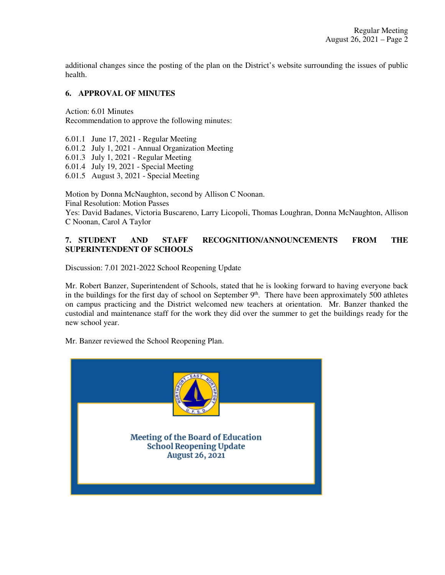additional changes since the posting of the plan on the District's website surrounding the issues of public health.

## **6. APPROVAL OF MINUTES**

Action: 6.01 Minutes Recommendation to approve the following minutes:

6.01.1 June 17, 2021 - Regular Meeting 6.01.2 July 1, 2021 - Annual Organization Meeting 6.01.3 July 1, 2021 - Regular Meeting 6.01.4 July 19, 2021 - Special Meeting 6.01.5 August 3, 2021 - Special Meeting

Motion by Donna McNaughton, second by Allison C Noonan. Final Resolution: Motion Passes Yes: David Badanes, Victoria Buscareno, Larry Licopoli, Thomas Loughran, Donna McNaughton, Allison C Noonan, Carol A Taylor

## **7. STUDENT AND STAFF RECOGNITION/ANNOUNCEMENTS FROM THE SUPERINTENDENT OF SCHOOLS**

Discussion: 7.01 2021-2022 School Reopening Update

Mr. Robert Banzer, Superintendent of Schools, stated that he is looking forward to having everyone back in the buildings for the first day of school on September 9<sup>th</sup>. There have been approximately 500 athletes on campus practicing and the District welcomed new teachers at orientation. Mr. Banzer thanked the custodial and maintenance staff for the work they did over the summer to get the buildings ready for the new school year.

Mr. Banzer reviewed the School Reopening Plan.

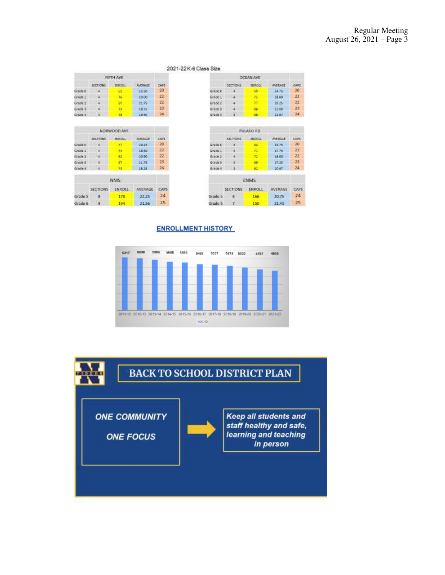| 2021-22K-6 Class Size |  |  |  |
|-----------------------|--|--|--|
|                       |  |  |  |

 $22$ 

 $\boldsymbol{\mathit{n}}$ 

23

 $24$ 

18.50

20.50

21.75

1825

21.56 25

|              |                 | OCEAN AVE     |
|--------------|-----------------|---------------|
|              | <b>SECTIONS</b> | <b>ENROLL</b> |
| Grade        |                 |               |
| Grade 1      |                 |               |
| Grade 2      |                 |               |
| irade        |                 |               |
| <b>COLES</b> |                 |               |

|          |                 | <b>PULASKI RD</b> |         |       |
|----------|-----------------|-------------------|---------|-------|
|          | SELTICINS:      | <b>ENROLL</b>     | WERASE  | CAPS. |
| Grade.K  |                 | -85               | 11.75   | 20    |
| Grade 1  |                 | -71.              | 17.75   | 22    |
| Grade 2  |                 | 22                | 18.00   | 22    |
| Grade 8  |                 | 69                | 17.25   | 23    |
| Grade II | 8               | еŀ                | 30.67   | 24    |
|          |                 | ENMS:             |         |       |
|          | <b>SECTIONS</b> | ENROLL            | AVERAGE | CAPS  |
| Grade 5  | я               | 166               | 20.75   | 24    |
| Grade 6  | 7               | 150               | 21.43   | 25    |

**AVERAGE** 

14.75

18.00

19.25

22.00 22.67 cars  $20\,$ 

 $\overline{22}$ 

 $\overline{n}$ 

23.

 $24.$ 

|         |                  | FIFTH AVE                        |                |             |
|---------|------------------|----------------------------------|----------------|-------------|
|         | SECTIONS         | <b>THRICLE</b>                   | <b>AVERAGE</b> | CAPS.       |
| Grade K |                  | 62.                              | <b>EE 50</b>   | 20          |
| Grade L |                  | 76                               | 19.00          | 22          |
| Grade 2 |                  | R7                               | 21.75          | 22          |
| Grade 3 |                  | 73                               | 18.25          | 23.         |
| Grade 4 |                  | 78                               | 10.50          | 24          |
|         |                  | <b>TRAPOSERIA</b><br>NORWOOD AVE |                |             |
|         | SECTIONS PARIDLE |                                  | <b>MERAG</b>   | <b>CAPS</b> |
| Grede K |                  | 77                               | 10.25          | 20          |

 $\mathcal{B}$ 

 $_{\rm B2}$ 

 $\mathbf{87}$ 

78

194

SECTIONS ENROLL AVERAGE CAPS Grade 5 8 178 22.25 24

NMS.

Grade 1

Grade 2

Grade B

Grade 4

ù.

 $\frac{1}{2}$ 

a.

Grade 6 9

#### **ENROLLMENT HISTORY**



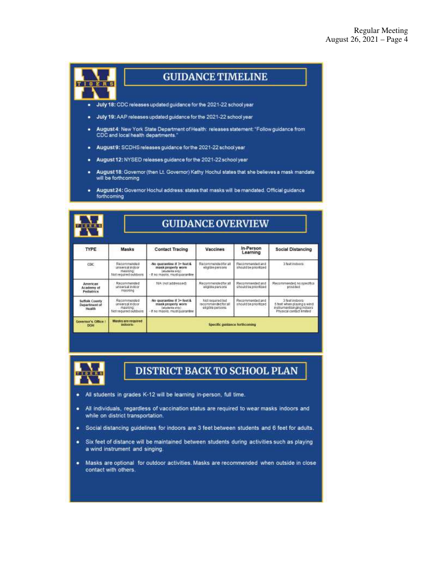

# **GUIDANCE TIMELINE**

- July 18: CDC releases updated guidance for the 2021-22 school year ۰
- July 19: AAP releases updated guidance for the 2021-22 school year ٠
- August 4: New York State Department of Health: releases statement: "Follow guidance from ٠ CDC and local health departments."
- August 9: SCDHS releases guidance for the 2021-22 school year
- August 12: NYSED releases guidance for the 2021-22 school year ٠
- August 18: Governor (then Lt. Governor) Kathy Hochul states that she believes a mask mandate ٠ will be forthcoming
- August 24: Governor Hochul address: states that masks will be mandated. Official guidance ٠ forthcoming

| <b>TIOTAS</b>                                    |                                                                       | <b>GUIDANCE OVERVIEW</b>                                                                               |                                                               |                                          |                                                                                                         |  |
|--------------------------------------------------|-----------------------------------------------------------------------|--------------------------------------------------------------------------------------------------------|---------------------------------------------------------------|------------------------------------------|---------------------------------------------------------------------------------------------------------|--|
| TYPE                                             | <b>Masks</b>                                                          | Contact Tracing                                                                                        | Vaccines                                                      | In-Person<br>Learning                    | <b>Social Distancing</b>                                                                                |  |
| coc                                              | Recommended<br>universal indoor<br>masking:<br>Not required outdoors  | No quarantine if 3+ feet &<br>mask property worn<br>latiotents pebi-<br>- If no masks, must guarantine | Recommended for all<br>eligible persons                       | Recommended and<br>should be prioritized | 3 feet indoors:                                                                                         |  |
| American<br>Academy of<br><b>Pediatrics</b>      | Recommended<br>universal indoor<br>masking                            | NA Instaddressed)                                                                                      | Recommended for all<br>aligible cersors                       | Recommended and<br>should be prioritized | Recommended no specifical<br>provided                                                                   |  |
| Suffolk County<br><b>Department</b> of<br>Health | Recommended<br>universal indoor<br>masking.<br>Nati required outdoors | No quarantine if 3+ feet &<br>mask properts worn<br>(students enty)<br>If no masks, must quarantine    | tud battagan toil<br>recommended for all<br>elipible persons. | Recommended and<br>bettitoita ed bluoda  | 3 feet indoors:<br>6 feet when playing a wind<br>instrument/singing indoors<br>Physical contact limited |  |
| Governor's Office<br><b>DOM</b>                  | Masks are required.<br>erdoors.                                       |                                                                                                        | Specific quidates forthcoming                                 |                                          |                                                                                                         |  |



# **DISTRICT BACK TO SCHOOL PLAN**

- All students in grades K-12 will be learning in-person, full time. ٠
- All individuals, regardless of vaccination status are required to wear masks indoors and ٠ while on district transportation.
- Social distancing guidelines for indoors are 3 feet between students and 6 feet for adults. ٠
- Six feet of distance will be maintained between students during activities such as playing ٠ a wind instrument and singing.
- Masks are optional for outdoor activities. Masks are recommended when outside in close ٠ contact with others.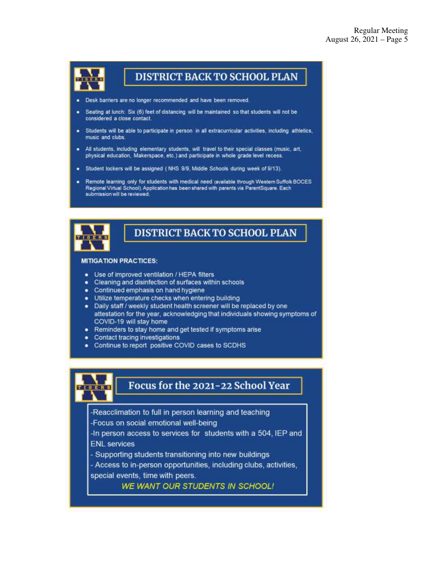

# **DISTRICT BACK TO SCHOOL PLAN**

- Desk barriers are no longer recommended and have been removed.
- Seating at lunch: Six (6) feet of distancing will be maintained so that students will not be considered a close contact.
- Students will be able to participate in person in all extracurricular activities, including athletics, music and clubs.
- . All students, including elementary students, will travel to their special classes (music, art, physical education, Makerspace, etc.) and participate in whole grade level recess.
- Student lockers will be assigned (NHS 9/9, Middle Schools during week of 9/13).
- Remote learning only for students with medical need (available through Western Suffolk BOCES Regional Virtual School). Application has been shared with parents via ParentSquare. Each submission will be reviewed.



# **DISTRICT BACK TO SCHOOL PLAN**

#### **MITIGATION PRACTICES:**

- Use of improved ventilation / HEPA filters
- Cleaning and disinfection of surfaces within schools
- Continued emphasis on hand hygiene
- · Utilize temperature checks when entering building
- . Daily staff / weekly student health screener will be replaced by one attestation for the year, acknowledging that individuals showing symptoms of COVID-19 will stay home
- Reminders to stay home and get tested if symptoms arise ۰
- Contact tracing investigations ٠
- Continue to report positive COVID cases to SCDHS



# Focus for the 2021-22 School Year

- -Reacclimation to full in person learning and teaching
- -Focus on social emotional well-being
- -In person access to services for students with a 504, IEP and **ENL** services
- Supporting students transitioning into new buildings
- Access to in-person opportunities, including clubs, activities, special events, time with peers.

**WE WANT OUR STUDENTS IN SCHOOL!**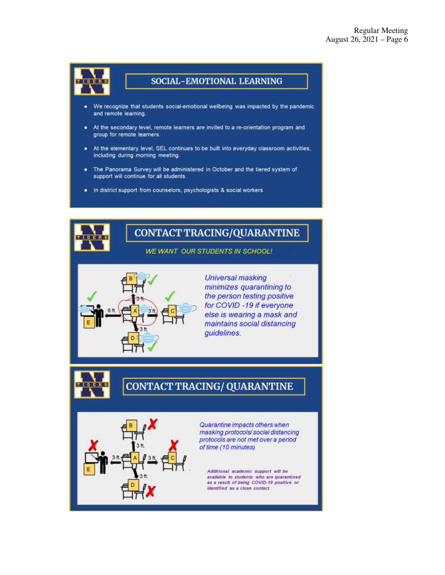

## SOCIAL-EMOTIONAL LEARNING

- We recognize that students social-emotional wellbeing was impacted by the pandemic and remote learning.
- At the secondary level, remote learners are invited to a re-orientation program and group for remote learners.
- . At the elementary level, SEL continues to be built into everyday classroom activities, including during morning meeting.
- . The Panorama Survey will be administered in October and the tiered system of support will continue for all students.
- . In district support from counselors, psychologists & social workers

# **CONTACT TRACING/QUARANTINE**

**WE WANT OUR STUDENTS IN SCHOOL!** 



**Universal masking** minimizes quarantining to the person testing positive for COVID -19 if everyone else is wearing a mask and maintains social distancing guidelines.

# **CONTACT TRACING/ QUARANTINE**



Quarantine impacts others when masking protocols/social distancing protocols are not met over a period of time (10 minutes)

Additional academic support will be available to students who are quarantined as a result of being COVID-19 positive or identified as a close contact.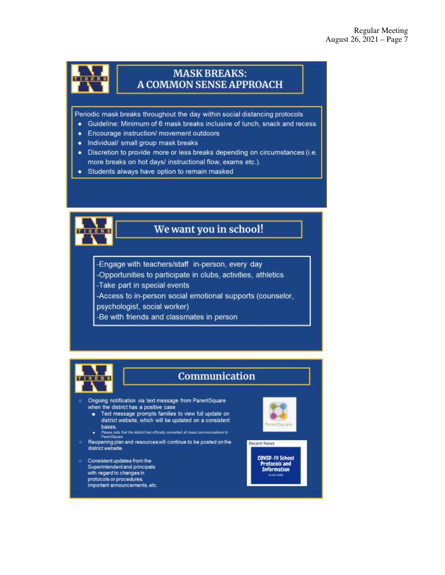

## **MASK BREAKS: A COMMON SENSE APPROACH**

Periodic mask breaks throughout the day within social distancing protocols

- · Guideline: Minimum of 6 mask breaks inclusive of lunch, snack and recess
- Encourage instruction/ movement outdoors
- . Individual/ small group mask breaks
- · Discretion to provide more or less breaks depending on circumstances (i.e. more breaks on hot days/ instructional flow, exams etc.).
- · Students always have option to remain masked



# We want you in school!

-Engage with teachers/staff in-person, every day -Opportunities to participate in clubs, activities, athletics -Take part in special events -Access to in-person social emotional supports (counselor,

psychologist, social worker)

-Be with friends and classmates in person



# Communication

- Ongoing notification via text message from ParentSquare when the district has a positive case
	- Fext message prompts families to view full update on district website, which will be updated on a consistent bases.
	- Please note that the district has officially converted all mass communications to
- Reopening plan and resources will continue to be posted on the district website.
- Consistent updates from the Superintendent and principals with regard to changes in protocols or procedures, important announcements, etc.



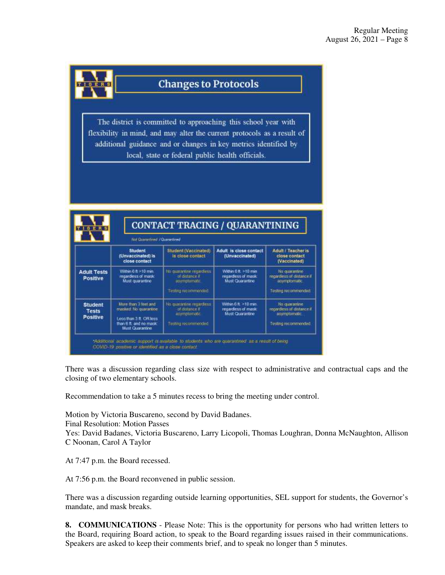

# **Changes to Protocols**

The district is committed to approaching this school year with flexibility in mind, and may alter the current protocols as a result of additional guidance and or changes in key metrics identified by local, state or federal public health officials.

|                                                   | <b>Not Quammined / Quarantined</b>                                                                                  |                                                                                  |                                                                |                                                                                    |
|---------------------------------------------------|---------------------------------------------------------------------------------------------------------------------|----------------------------------------------------------------------------------|----------------------------------------------------------------|------------------------------------------------------------------------------------|
|                                                   | Student<br>(Unvaccinated) is<br>close contact                                                                       | Student (Vaccinated)<br>Is close contact                                         | Adult is close contact<br>(Unvaccinated)                       | <b>Adult / Teacher is</b><br>close contact<br>(Vaccinated)                         |
| <b>Adult Tests</b><br>Positive                    | Within $6.6 > 10$ mm<br>regardess of mask:<br>Must quarantine                                                       | No quarante regarders<br>of distance in<br>uswmptomatic<br>Testing recommended.  | Within 6 ft > 10 min<br>regardless of mask.<br>Must Quarantine | No quarantine<br>recordiess of distance if<br>asymptomatic<br>Testing recommended  |
| <b>Student</b><br><b>Tests</b><br><b>Positive</b> | More than 3 teet and<br>masked No quarantine<br>Less than 3 ft. OR less<br>than 6 ft and no mask<br>Must Quarantine | No quarantine regarders<br>of distance if<br>asymptomanc.<br>Testing recommedded | Within 6 ft. >10 min.<br>regardess of mask:<br>Must Quarantine | No quarantine<br>recordiess of distance of<br>asymptomatic.<br>Testing recommended |

There was a discussion regarding class size with respect to administrative and contractual caps and the closing of two elementary schools.

Recommendation to take a 5 minutes recess to bring the meeting under control.

Motion by Victoria Buscareno, second by David Badanes. Final Resolution: Motion Passes Yes: David Badanes, Victoria Buscareno, Larry Licopoli, Thomas Loughran, Donna McNaughton, Allison C Noonan, Carol A Taylor

At 7:47 p.m. the Board recessed.

At 7:56 p.m. the Board reconvened in public session.

There was a discussion regarding outside learning opportunities, SEL support for students, the Governor's mandate, and mask breaks.

**8. COMMUNICATIONS** - Please Note: This is the opportunity for persons who had written letters to the Board, requiring Board action, to speak to the Board regarding issues raised in their communications. Speakers are asked to keep their comments brief, and to speak no longer than 5 minutes.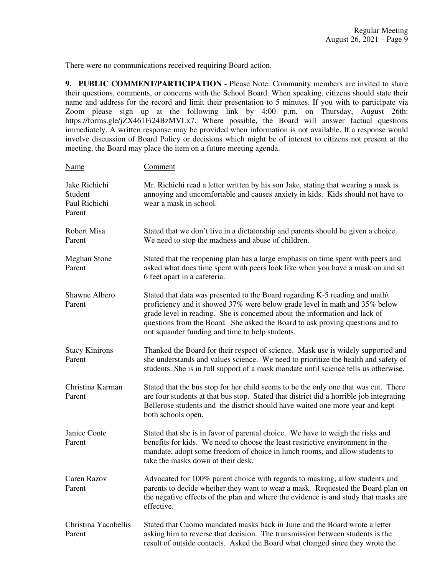There were no communications received requiring Board action.

**9. PUBLIC COMMENT/PARTICIPATION** - Please Note: Community members are invited to share their questions, comments, or concerns with the School Board. When speaking, citizens should state their name and address for the record and limit their presentation to 5 minutes. If you with to participate via Zoom please sign up at the following link by 4:00 p.m. on Thursday, August 26th: https://forms.gle/jZX461Fi24BzMVLx7. Where possible, the Board will answer factual questions immediately. A written response may be provided when information is not available. If a response would involve discussion of Board Policy or decisions which might be of interest to citizens not present at the meeting, the Board may place the item on a future meeting agenda.

| <b>Name</b>                                         | Comment                                                                                                                                                                                                                                                                                                                                                                     |
|-----------------------------------------------------|-----------------------------------------------------------------------------------------------------------------------------------------------------------------------------------------------------------------------------------------------------------------------------------------------------------------------------------------------------------------------------|
| Jake Richichi<br>Student<br>Paul Richichi<br>Parent | Mr. Richichi read a letter written by his son Jake, stating that wearing a mask is<br>annoying and uncomfortable and causes anxiety in kids. Kids should not have to<br>wear a mask in school.                                                                                                                                                                              |
| Robert Misa<br>Parent                               | Stated that we don't live in a dictatorship and parents should be given a choice.<br>We need to stop the madness and abuse of children.                                                                                                                                                                                                                                     |
| <b>Meghan Stone</b><br>Parent                       | Stated that the reopening plan has a large emphasis on time spent with peers and<br>asked what does time spent with peers look like when you have a mask on and sit<br>6 feet apart in a cafeteria.                                                                                                                                                                         |
| Shawne Albero<br>Parent                             | Stated that data was presented to the Board regarding K-5 reading and math\<br>proficiency and it showed 37% were below grade level in math and 35% below<br>grade level in reading. She is concerned about the information and lack of<br>questions from the Board. She asked the Board to ask proving questions and to<br>not squander funding and time to help students. |
| <b>Stacy Kinirons</b><br>Parent                     | Thanked the Board for their respect of science. Mask use is widely supported and<br>she understands and values science. We need to prioritize the health and safety of<br>students. She is in full support of a mask mandate until science tells us otherwise.                                                                                                              |
| Christina Karman<br>Parent                          | Stated that the bus stop for her child seems to be the only one that was cut. There<br>are four students at that bus stop. Stated that district did a horrible job integrating<br>Bellerose students and the district should have waited one more year and kept<br>both schools open.                                                                                       |
| Janice Conte<br>Parent                              | Stated that she is in favor of parental choice. We have to weigh the risks and<br>benefits for kids. We need to choose the least restrictive environment in the<br>mandate, adopt some freedom of choice in lunch rooms, and allow students to<br>take the masks down at their desk.                                                                                        |
| <b>Caren Razov</b><br>Parent                        | Advocated for 100% parent choice with regards to masking, allow students and<br>parents to decide whether they want to wear a mask. Requested the Board plan on<br>the negative effects of the plan and where the evidence is and study that masks are<br>effective.                                                                                                        |
| Christina Yacobellis<br>Parent                      | Stated that Cuomo mandated masks back in June and the Board wrote a letter<br>asking him to reverse that decision. The transmission between students is the<br>result of outside contacts. Asked the Board what changed since they wrote the                                                                                                                                |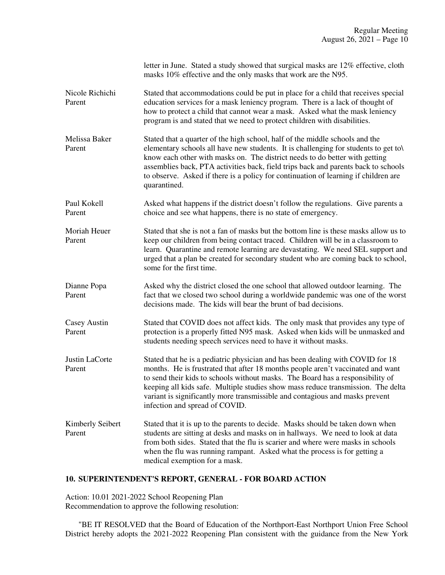|                            | letter in June. Stated a study showed that surgical masks are 12% effective, cloth<br>masks 10% effective and the only masks that work are the N95.                                                                                                                                                                                                                                                                                                       |  |  |
|----------------------------|-----------------------------------------------------------------------------------------------------------------------------------------------------------------------------------------------------------------------------------------------------------------------------------------------------------------------------------------------------------------------------------------------------------------------------------------------------------|--|--|
| Nicole Richichi<br>Parent  | Stated that accommodations could be put in place for a child that receives special<br>education services for a mask leniency program. There is a lack of thought of<br>how to protect a child that cannot wear a mask. Asked what the mask leniency<br>program is and stated that we need to protect children with disabilities.                                                                                                                          |  |  |
| Melissa Baker<br>Parent    | Stated that a quarter of the high school, half of the middle schools and the<br>elementary schools all have new students. It is challenging for students to get to\<br>know each other with masks on. The district needs to do better with getting<br>assemblies back, PTA activities back, field trips back and parents back to schools<br>to observe. Asked if there is a policy for continuation of learning if children are<br>quarantined.           |  |  |
| Paul Kokell<br>Parent      | Asked what happens if the district doesn't follow the regulations. Give parents a<br>choice and see what happens, there is no state of emergency.                                                                                                                                                                                                                                                                                                         |  |  |
| Moriah Heuer<br>Parent     | Stated that she is not a fan of masks but the bottom line is these masks allow us to<br>keep our children from being contact traced. Children will be in a classroom to<br>learn. Quarantine and remote learning are devastating. We need SEL support and<br>urged that a plan be created for secondary student who are coming back to school,<br>some for the first time.                                                                                |  |  |
| Dianne Popa<br>Parent      | Asked why the district closed the one school that allowed outdoor learning. The<br>fact that we closed two school during a worldwide pandemic was one of the worst<br>decisions made. The kids will bear the brunt of bad decisions.                                                                                                                                                                                                                      |  |  |
| Casey Austin<br>Parent     | Stated that COVID does not affect kids. The only mask that provides any type of<br>protection is a properly fitted N95 mask. Asked when kids will be unmasked and<br>students needing speech services need to have it without masks.                                                                                                                                                                                                                      |  |  |
| Justin LaCorte<br>Parent   | Stated that he is a pediatric physician and has been dealing with COVID for 18<br>months. He is frustrated that after 18 months people aren't vaccinated and want<br>to send their kids to schools without masks. The Board has a responsibility of<br>keeping all kids safe. Multiple studies show mass reduce transmission. The delta<br>variant is significantly more transmissible and contagious and masks prevent<br>infection and spread of COVID. |  |  |
| Kimberly Seibert<br>Parent | Stated that it is up to the parents to decide. Masks should be taken down when<br>students are sitting at desks and masks on in hallways. We need to look at data<br>from both sides. Stated that the flu is scarier and where were masks in schools<br>when the flu was running rampant. Asked what the process is for getting a<br>medical exemption for a mask.                                                                                        |  |  |

# **10. SUPERINTENDENT'S REPORT, GENERAL - FOR BOARD ACTION**

Action: 10.01 2021-2022 School Reopening Plan Recommendation to approve the following resolution:

 "BE IT RESOLVED that the Board of Education of the Northport-East Northport Union Free School District hereby adopts the 2021-2022 Reopening Plan consistent with the guidance from the New York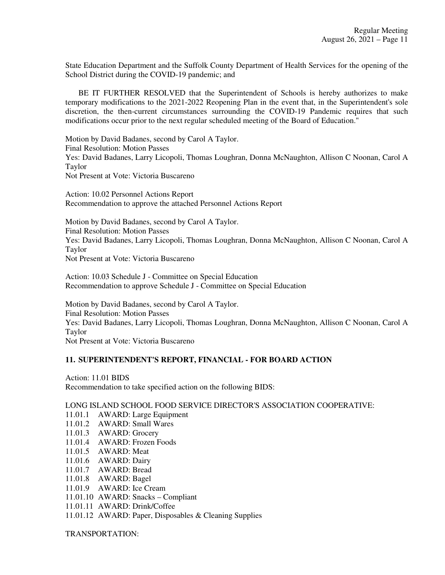State Education Department and the Suffolk County Department of Health Services for the opening of the School District during the COVID-19 pandemic; and

 BE IT FURTHER RESOLVED that the Superintendent of Schools is hereby authorizes to make temporary modifications to the 2021-2022 Reopening Plan in the event that, in the Superintendent's sole discretion, the then-current circumstances surrounding the COVID-19 Pandemic requires that such modifications occur prior to the next regular scheduled meeting of the Board of Education."

Motion by David Badanes, second by Carol A Taylor. Final Resolution: Motion Passes Yes: David Badanes, Larry Licopoli, Thomas Loughran, Donna McNaughton, Allison C Noonan, Carol A Taylor Not Present at Vote: Victoria Buscareno

Action: 10.02 Personnel Actions Report Recommendation to approve the attached Personnel Actions Report

Motion by David Badanes, second by Carol A Taylor. Final Resolution: Motion Passes Yes: David Badanes, Larry Licopoli, Thomas Loughran, Donna McNaughton, Allison C Noonan, Carol A Taylor Not Present at Vote: Victoria Buscareno

Action: 10.03 Schedule J - Committee on Special Education Recommendation to approve Schedule J - Committee on Special Education

Motion by David Badanes, second by Carol A Taylor. Final Resolution: Motion Passes Yes: David Badanes, Larry Licopoli, Thomas Loughran, Donna McNaughton, Allison C Noonan, Carol A Taylor Not Present at Vote: Victoria Buscareno

## **11. SUPERINTENDENT'S REPORT, FINANCIAL - FOR BOARD ACTION**

Action: 11.01 BIDS Recommendation to take specified action on the following BIDS:

LONG ISLAND SCHOOL FOOD SERVICE DIRECTOR'S ASSOCIATION COOPERATIVE:

- 11.01.1 AWARD: Large Equipment
- 11.01.2 AWARD: Small Wares
- 11.01.3 AWARD: Grocery
- 11.01.4 AWARD: Frozen Foods
- 11.01.5 AWARD: Meat
- 11.01.6 AWARD: Dairy
- 11.01.7 AWARD: Bread
- 11.01.8 AWARD: Bagel
- 11.01.9 AWARD: Ice Cream
- 11.01.10 AWARD: Snacks Compliant
- 11.01.11 AWARD: Drink/Coffee
- 11.01.12 AWARD: Paper, Disposables & Cleaning Supplies

TRANSPORTATION: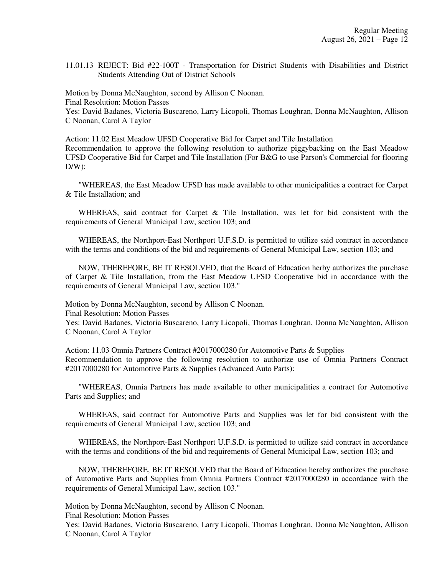11.01.13 REJECT: Bid #22-100T - Transportation for District Students with Disabilities and District Students Attending Out of District Schools

Motion by Donna McNaughton, second by Allison C Noonan. Final Resolution: Motion Passes Yes: David Badanes, Victoria Buscareno, Larry Licopoli, Thomas Loughran, Donna McNaughton, Allison C Noonan, Carol A Taylor

Action: 11.02 East Meadow UFSD Cooperative Bid for Carpet and Tile Installation Recommendation to approve the following resolution to authorize piggybacking on the East Meadow UFSD Cooperative Bid for Carpet and Tile Installation (For B&G to use Parson's Commercial for flooring  $D/W$ :

 "WHEREAS, the East Meadow UFSD has made available to other municipalities a contract for Carpet & Tile Installation; and

 WHEREAS, said contract for Carpet & Tile Installation, was let for bid consistent with the requirements of General Municipal Law, section 103; and

 WHEREAS, the Northport-East Northport U.F.S.D. is permitted to utilize said contract in accordance with the terms and conditions of the bid and requirements of General Municipal Law, section 103; and

 NOW, THEREFORE, BE IT RESOLVED, that the Board of Education herby authorizes the purchase of Carpet & Tile Installation, from the East Meadow UFSD Cooperative bid in accordance with the requirements of General Municipal Law, section 103."

Motion by Donna McNaughton, second by Allison C Noonan.

Final Resolution: Motion Passes

Yes: David Badanes, Victoria Buscareno, Larry Licopoli, Thomas Loughran, Donna McNaughton, Allison C Noonan, Carol A Taylor

Action: 11.03 Omnia Partners Contract #2017000280 for Automotive Parts & Supplies Recommendation to approve the following resolution to authorize use of Omnia Partners Contract #2017000280 for Automotive Parts & Supplies (Advanced Auto Parts):

 "WHEREAS, Omnia Partners has made available to other municipalities a contract for Automotive Parts and Supplies; and

 WHEREAS, said contract for Automotive Parts and Supplies was let for bid consistent with the requirements of General Municipal Law, section 103; and

 WHEREAS, the Northport-East Northport U.F.S.D. is permitted to utilize said contract in accordance with the terms and conditions of the bid and requirements of General Municipal Law, section 103; and

 NOW, THEREFORE, BE IT RESOLVED that the Board of Education hereby authorizes the purchase of Automotive Parts and Supplies from Omnia Partners Contract #2017000280 in accordance with the requirements of General Municipal Law, section 103."

Motion by Donna McNaughton, second by Allison C Noonan.

Final Resolution: Motion Passes

Yes: David Badanes, Victoria Buscareno, Larry Licopoli, Thomas Loughran, Donna McNaughton, Allison C Noonan, Carol A Taylor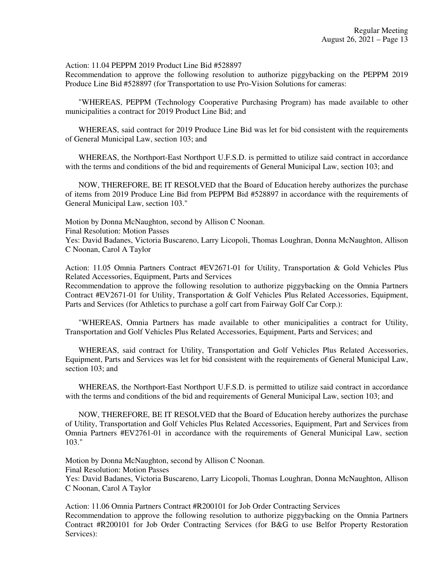Action: 11.04 PEPPM 2019 Product Line Bid #528897

Recommendation to approve the following resolution to authorize piggybacking on the PEPPM 2019 Produce Line Bid #528897 (for Transportation to use Pro-Vision Solutions for cameras:

 "WHEREAS, PEPPM (Technology Cooperative Purchasing Program) has made available to other municipalities a contract for 2019 Product Line Bid; and

 WHEREAS, said contract for 2019 Produce Line Bid was let for bid consistent with the requirements of General Municipal Law, section 103; and

 WHEREAS, the Northport-East Northport U.F.S.D. is permitted to utilize said contract in accordance with the terms and conditions of the bid and requirements of General Municipal Law, section 103; and

 NOW, THEREFORE, BE IT RESOLVED that the Board of Education hereby authorizes the purchase of items from 2019 Produce Line Bid from PEPPM Bid #528897 in accordance with the requirements of General Municipal Law, section 103."

Motion by Donna McNaughton, second by Allison C Noonan.

Final Resolution: Motion Passes

Yes: David Badanes, Victoria Buscareno, Larry Licopoli, Thomas Loughran, Donna McNaughton, Allison C Noonan, Carol A Taylor

Action: 11.05 Omnia Partners Contract #EV2671-01 for Utility, Transportation & Gold Vehicles Plus Related Accessories, Equipment, Parts and Services

Recommendation to approve the following resolution to authorize piggybacking on the Omnia Partners Contract #EV2671-01 for Utility, Transportation & Golf Vehicles Plus Related Accessories, Equipment, Parts and Services (for Athletics to purchase a golf cart from Fairway Golf Car Corp.):

 "WHEREAS, Omnia Partners has made available to other municipalities a contract for Utility, Transportation and Golf Vehicles Plus Related Accessories, Equipment, Parts and Services; and

 WHEREAS, said contract for Utility, Transportation and Golf Vehicles Plus Related Accessories, Equipment, Parts and Services was let for bid consistent with the requirements of General Municipal Law, section 103; and

 WHEREAS, the Northport-East Northport U.F.S.D. is permitted to utilize said contract in accordance with the terms and conditions of the bid and requirements of General Municipal Law, section 103; and

 NOW, THEREFORE, BE IT RESOLVED that the Board of Education hereby authorizes the purchase of Utility, Transportation and Golf Vehicles Plus Related Accessories, Equipment, Part and Services from Omnia Partners #EV2761-01 in accordance with the requirements of General Municipal Law, section 103."

Motion by Donna McNaughton, second by Allison C Noonan.

Final Resolution: Motion Passes

Yes: David Badanes, Victoria Buscareno, Larry Licopoli, Thomas Loughran, Donna McNaughton, Allison C Noonan, Carol A Taylor

Action: 11.06 Omnia Partners Contract #R200101 for Job Order Contracting Services Recommendation to approve the following resolution to authorize piggybacking on the Omnia Partners Contract #R200101 for Job Order Contracting Services (for B&G to use Belfor Property Restoration Services):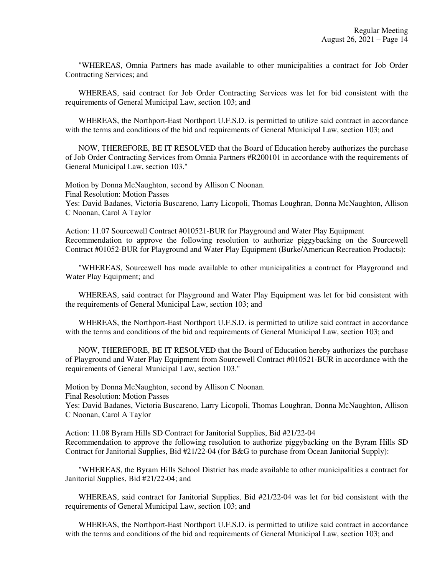"WHEREAS, Omnia Partners has made available to other municipalities a contract for Job Order Contracting Services; and

 WHEREAS, said contract for Job Order Contracting Services was let for bid consistent with the requirements of General Municipal Law, section 103; and

 WHEREAS, the Northport-East Northport U.F.S.D. is permitted to utilize said contract in accordance with the terms and conditions of the bid and requirements of General Municipal Law, section 103; and

 NOW, THEREFORE, BE IT RESOLVED that the Board of Education hereby authorizes the purchase of Job Order Contracting Services from Omnia Partners #R200101 in accordance with the requirements of General Municipal Law, section 103."

Motion by Donna McNaughton, second by Allison C Noonan. Final Resolution: Motion Passes Yes: David Badanes, Victoria Buscareno, Larry Licopoli, Thomas Loughran, Donna McNaughton, Allison C Noonan, Carol A Taylor

Action: 11.07 Sourcewell Contract #010521-BUR for Playground and Water Play Equipment Recommendation to approve the following resolution to authorize piggybacking on the Sourcewell Contract #01052-BUR for Playground and Water Play Equipment (Burke/American Recreation Products):

 "WHEREAS, Sourcewell has made available to other municipalities a contract for Playground and Water Play Equipment; and

 WHEREAS, said contract for Playground and Water Play Equipment was let for bid consistent with the requirements of General Municipal Law, section 103; and

 WHEREAS, the Northport-East Northport U.F.S.D. is permitted to utilize said contract in accordance with the terms and conditions of the bid and requirements of General Municipal Law, section 103; and

 NOW, THEREFORE, BE IT RESOLVED that the Board of Education hereby authorizes the purchase of Playground and Water Play Equipment from Sourcewell Contract #010521-BUR in accordance with the requirements of General Municipal Law, section 103."

Motion by Donna McNaughton, second by Allison C Noonan.

Final Resolution: Motion Passes

Yes: David Badanes, Victoria Buscareno, Larry Licopoli, Thomas Loughran, Donna McNaughton, Allison C Noonan, Carol A Taylor

Action: 11.08 Byram Hills SD Contract for Janitorial Supplies, Bid #21/22-04 Recommendation to approve the following resolution to authorize piggybacking on the Byram Hills SD Contract for Janitorial Supplies, Bid #21/22-04 (for B&G to purchase from Ocean Janitorial Supply):

 "WHEREAS, the Byram Hills School District has made available to other municipalities a contract for Janitorial Supplies, Bid #21/22-04; and

 WHEREAS, said contract for Janitorial Supplies, Bid #21/22-04 was let for bid consistent with the requirements of General Municipal Law, section 103; and

 WHEREAS, the Northport-East Northport U.F.S.D. is permitted to utilize said contract in accordance with the terms and conditions of the bid and requirements of General Municipal Law, section 103; and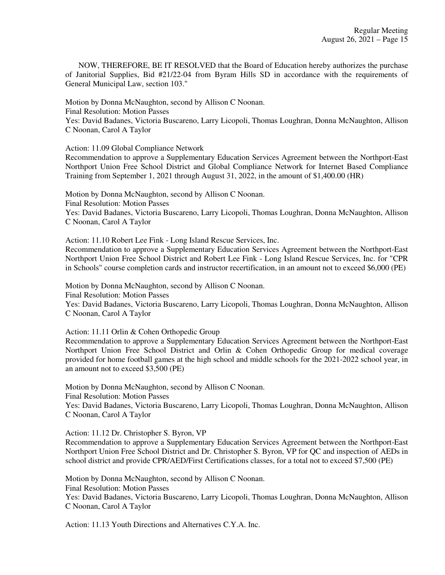NOW, THEREFORE, BE IT RESOLVED that the Board of Education hereby authorizes the purchase of Janitorial Supplies, Bid #21/22-04 from Byram Hills SD in accordance with the requirements of General Municipal Law, section 103."

Motion by Donna McNaughton, second by Allison C Noonan. Final Resolution: Motion Passes Yes: David Badanes, Victoria Buscareno, Larry Licopoli, Thomas Loughran, Donna McNaughton, Allison C Noonan, Carol A Taylor

Action: 11.09 Global Compliance Network

Recommendation to approve a Supplementary Education Services Agreement between the Northport-East Northport Union Free School District and Global Compliance Network for Internet Based Compliance Training from September 1, 2021 through August 31, 2022, in the amount of \$1,400.00 (HR)

Motion by Donna McNaughton, second by Allison C Noonan. Final Resolution: Motion Passes Yes: David Badanes, Victoria Buscareno, Larry Licopoli, Thomas Loughran, Donna McNaughton, Allison C Noonan, Carol A Taylor

Action: 11.10 Robert Lee Fink - Long Island Rescue Services, Inc.

Recommendation to approve a Supplementary Education Services Agreement between the Northport-East Northport Union Free School District and Robert Lee Fink - Long Island Rescue Services, Inc. for "CPR in Schools" course completion cards and instructor recertification, in an amount not to exceed \$6,000 (PE)

Motion by Donna McNaughton, second by Allison C Noonan. Final Resolution: Motion Passes Yes: David Badanes, Victoria Buscareno, Larry Licopoli, Thomas Loughran, Donna McNaughton, Allison C Noonan, Carol A Taylor

Action: 11.11 Orlin & Cohen Orthopedic Group

Recommendation to approve a Supplementary Education Services Agreement between the Northport-East Northport Union Free School District and Orlin & Cohen Orthopedic Group for medical coverage provided for home football games at the high school and middle schools for the 2021-2022 school year, in an amount not to exceed \$3,500 (PE)

Motion by Donna McNaughton, second by Allison C Noonan.

Final Resolution: Motion Passes

Yes: David Badanes, Victoria Buscareno, Larry Licopoli, Thomas Loughran, Donna McNaughton, Allison C Noonan, Carol A Taylor

Action: 11.12 Dr. Christopher S. Byron, VP

Recommendation to approve a Supplementary Education Services Agreement between the Northport-East Northport Union Free School District and Dr. Christopher S. Byron, VP for QC and inspection of AEDs in school district and provide CPR/AED/First Certifications classes, for a total not to exceed \$7,500 (PE)

Motion by Donna McNaughton, second by Allison C Noonan.

Final Resolution: Motion Passes

Yes: David Badanes, Victoria Buscareno, Larry Licopoli, Thomas Loughran, Donna McNaughton, Allison C Noonan, Carol A Taylor

Action: 11.13 Youth Directions and Alternatives C.Y.A. Inc.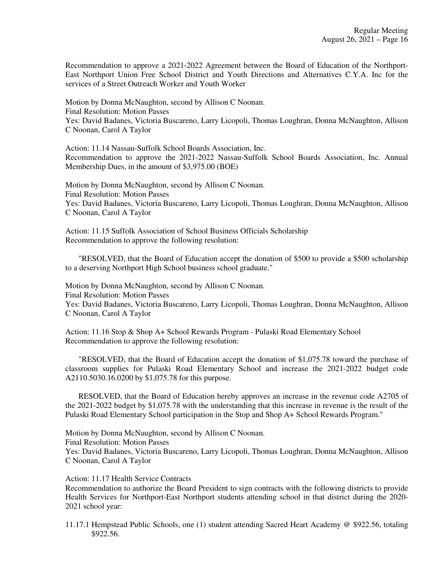Recommendation to approve a 2021-2022 Agreement between the Board of Education of the Northport-East Northport Union Free School District and Youth Directions and Alternatives C.Y.A. Inc for the services of a Street Outreach Worker and Youth Worker

Motion by Donna McNaughton, second by Allison C Noonan. Final Resolution: Motion Passes Yes: David Badanes, Victoria Buscareno, Larry Licopoli, Thomas Loughran, Donna McNaughton, Allison C Noonan, Carol A Taylor

Action: 11.14 Nassau-Suffolk School Boards Association, Inc. Recommendation to approve the 2021-2022 Nassau-Suffolk School Boards Association, Inc. Annual Membership Dues, in the amount of \$3,975.00 (BOE)

Motion by Donna McNaughton, second by Allison C Noonan. Final Resolution: Motion Passes Yes: David Badanes, Victoria Buscareno, Larry Licopoli, Thomas Loughran, Donna McNaughton, Allison C Noonan, Carol A Taylor

Action: 11.15 Suffolk Association of School Business Officials Scholarship Recommendation to approve the following resolution:

 "RESOLVED, that the Board of Education accept the donation of \$500 to provide a \$500 scholarship to a deserving Northport High School business school graduate."

Motion by Donna McNaughton, second by Allison C Noonan. Final Resolution: Motion Passes Yes: David Badanes, Victoria Buscareno, Larry Licopoli, Thomas Loughran, Donna McNaughton, Allison C Noonan, Carol A Taylor

Action: 11.16 Stop & Shop A+ School Rewards Program - Pulaski Road Elementary School Recommendation to approve the following resolution:

 "RESOLVED, that the Board of Education accept the donation of \$1,075.78 toward the purchase of classroom supplies for Pulaski Road Elementary School and increase the 2021-2022 budget code A2110.5030.16.0200 by \$1,075.78 for this purpose.

 RESOLVED, that the Board of Education hereby approves an increase in the revenue code A2705 of the 2021-2022 budget by \$1,075.78 with the understanding that this increase in revenue is the result of the Pulaski Road Elementary School participation in the Stop and Shop A+ School Rewards Program."

Motion by Donna McNaughton, second by Allison C Noonan. Final Resolution: Motion Passes Yes: David Badanes, Victoria Buscareno, Larry Licopoli, Thomas Loughran, Donna McNaughton, Allison C Noonan, Carol A Taylor

Action: 11.17 Health Service Contracts

Recommendation to authorize the Board President to sign contracts with the following districts to provide Health Services for Northport-East Northport students attending school in that district during the 2020- 2021 school year:

11.17.1 Hempstead Public Schools, one (1) student attending Sacred Heart Academy @ \$922.56, totaling \$922.56.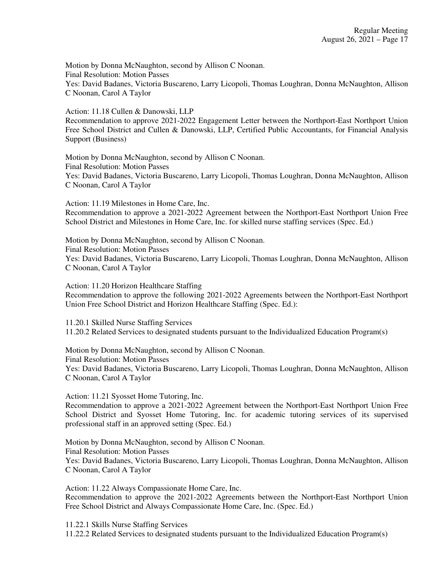Motion by Donna McNaughton, second by Allison C Noonan. Final Resolution: Motion Passes Yes: David Badanes, Victoria Buscareno, Larry Licopoli, Thomas Loughran, Donna McNaughton, Allison C Noonan, Carol A Taylor

Action: 11.18 Cullen & Danowski, LLP

Recommendation to approve 2021-2022 Engagement Letter between the Northport-East Northport Union Free School District and Cullen & Danowski, LLP, Certified Public Accountants, for Financial Analysis Support (Business)

Motion by Donna McNaughton, second by Allison C Noonan. Final Resolution: Motion Passes Yes: David Badanes, Victoria Buscareno, Larry Licopoli, Thomas Loughran, Donna McNaughton, Allison C Noonan, Carol A Taylor

Action: 11.19 Milestones in Home Care, Inc. Recommendation to approve a 2021-2022 Agreement between the Northport-East Northport Union Free School District and Milestones in Home Care, Inc. for skilled nurse staffing services (Spec. Ed.)

Motion by Donna McNaughton, second by Allison C Noonan. Final Resolution: Motion Passes Yes: David Badanes, Victoria Buscareno, Larry Licopoli, Thomas Loughran, Donna McNaughton, Allison C Noonan, Carol A Taylor

Action: 11.20 Horizon Healthcare Staffing Recommendation to approve the following 2021-2022 Agreements between the Northport-East Northport Union Free School District and Horizon Healthcare Staffing (Spec. Ed.):

11.20.1 Skilled Nurse Staffing Services 11.20.2 Related Services to designated students pursuant to the Individualized Education Program(s)

Motion by Donna McNaughton, second by Allison C Noonan. Final Resolution: Motion Passes Yes: David Badanes, Victoria Buscareno, Larry Licopoli, Thomas Loughran, Donna McNaughton, Allison C Noonan, Carol A Taylor

Action: 11.21 Syosset Home Tutoring, Inc.

Recommendation to approve a 2021-2022 Agreement between the Northport-East Northport Union Free School District and Syosset Home Tutoring, Inc. for academic tutoring services of its supervised professional staff in an approved setting (Spec. Ed.)

Motion by Donna McNaughton, second by Allison C Noonan. Final Resolution: Motion Passes Yes: David Badanes, Victoria Buscareno, Larry Licopoli, Thomas Loughran, Donna McNaughton, Allison C Noonan, Carol A Taylor

Action: 11.22 Always Compassionate Home Care, Inc. Recommendation to approve the 2021-2022 Agreements between the Northport-East Northport Union Free School District and Always Compassionate Home Care, Inc. (Spec. Ed.)

11.22.1 Skills Nurse Staffing Services

11.22.2 Related Services to designated students pursuant to the Individualized Education Program(s)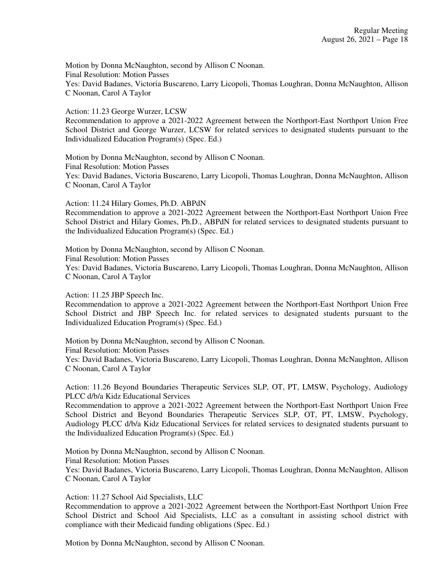Motion by Donna McNaughton, second by Allison C Noonan. Final Resolution: Motion Passes Yes: David Badanes, Victoria Buscareno, Larry Licopoli, Thomas Loughran, Donna McNaughton, Allison C Noonan, Carol A Taylor

Action: 11.23 George Wurzer, LCSW

Recommendation to approve a 2021-2022 Agreement between the Northport-East Northport Union Free School District and George Wurzer, LCSW for related services to designated students pursuant to the Individualized Education Program(s) (Spec. Ed.)

Motion by Donna McNaughton, second by Allison C Noonan. Final Resolution: Motion Passes Yes: David Badanes, Victoria Buscareno, Larry Licopoli, Thomas Loughran, Donna McNaughton, Allison C Noonan, Carol A Taylor

Action: 11.24 Hilary Gomes, Ph.D. ABPdN

Recommendation to approve a 2021-2022 Agreement between the Northport-East Northport Union Free School District and Hilary Gomes, Ph.D., ABPdN for related services to designated students pursuant to the Individualized Education Program(s) (Spec. Ed.)

Motion by Donna McNaughton, second by Allison C Noonan. Final Resolution: Motion Passes Yes: David Badanes, Victoria Buscareno, Larry Licopoli, Thomas Loughran, Donna McNaughton, Allison C Noonan, Carol A Taylor

Action: 11.25 JBP Speech Inc.

Recommendation to approve a 2021-2022 Agreement between the Northport-East Northport Union Free School District and JBP Speech Inc. for related services to designated students pursuant to the Individualized Education Program(s) (Spec. Ed.)

Motion by Donna McNaughton, second by Allison C Noonan. Final Resolution: Motion Passes Yes: David Badanes, Victoria Buscareno, Larry Licopoli, Thomas Loughran, Donna McNaughton, Allison C Noonan, Carol A Taylor

Action: 11.26 Beyond Boundaries Therapeutic Services SLP, OT, PT, LMSW, Psychology, Audiology PLCC d/b/a Kidz Educational Services

Recommendation to approve a 2021-2022 Agreement between the Northport-East Northport Union Free School District and Beyond Boundaries Therapeutic Services SLP, OT, PT, LMSW, Psychology, Audiology PLCC d/b/a Kidz Educational Services for related services to designated students pursuant to the Individualized Education Program(s) (Spec. Ed.)

Motion by Donna McNaughton, second by Allison C Noonan. Final Resolution: Motion Passes Yes: David Badanes, Victoria Buscareno, Larry Licopoli, Thomas Loughran, Donna McNaughton, Allison C Noonan, Carol A Taylor

Action: 11.27 School Aid Specialists, LLC

Recommendation to approve a 2021-2022 Agreement between the Northport-East Northport Union Free School District and School Aid Specialists, LLC as a consultant in assisting school district with compliance with their Medicaid funding obligations (Spec. Ed.)

Motion by Donna McNaughton, second by Allison C Noonan.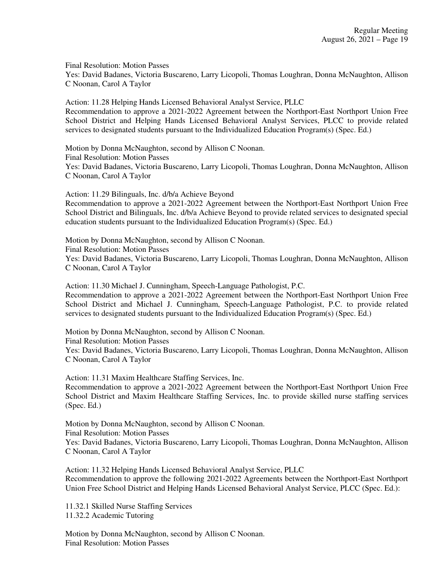Final Resolution: Motion Passes Yes: David Badanes, Victoria Buscareno, Larry Licopoli, Thomas Loughran, Donna McNaughton, Allison C Noonan, Carol A Taylor

Action: 11.28 Helping Hands Licensed Behavioral Analyst Service, PLLC Recommendation to approve a 2021-2022 Agreement between the Northport-East Northport Union Free School District and Helping Hands Licensed Behavioral Analyst Services, PLCC to provide related services to designated students pursuant to the Individualized Education Program(s) (Spec. Ed.)

Motion by Donna McNaughton, second by Allison C Noonan. Final Resolution: Motion Passes Yes: David Badanes, Victoria Buscareno, Larry Licopoli, Thomas Loughran, Donna McNaughton, Allison C Noonan, Carol A Taylor

Action: 11.29 Bilinguals, Inc. d/b/a Achieve Beyond Recommendation to approve a 2021-2022 Agreement between the Northport-East Northport Union Free School District and Bilinguals, Inc. d/b/a Achieve Beyond to provide related services to designated special education students pursuant to the Individualized Education Program(s) (Spec. Ed.)

Motion by Donna McNaughton, second by Allison C Noonan. Final Resolution: Motion Passes Yes: David Badanes, Victoria Buscareno, Larry Licopoli, Thomas Loughran, Donna McNaughton, Allison C Noonan, Carol A Taylor

Action: 11.30 Michael J. Cunningham, Speech-Language Pathologist, P.C. Recommendation to approve a 2021-2022 Agreement between the Northport-East Northport Union Free School District and Michael J. Cunningham, Speech-Language Pathologist, P.C. to provide related services to designated students pursuant to the Individualized Education Program(s) (Spec. Ed.)

Motion by Donna McNaughton, second by Allison C Noonan. Final Resolution: Motion Passes Yes: David Badanes, Victoria Buscareno, Larry Licopoli, Thomas Loughran, Donna McNaughton, Allison C Noonan, Carol A Taylor

Action: 11.31 Maxim Healthcare Staffing Services, Inc. Recommendation to approve a 2021-2022 Agreement between the Northport-East Northport Union Free School District and Maxim Healthcare Staffing Services, Inc. to provide skilled nurse staffing services (Spec. Ed.)

Motion by Donna McNaughton, second by Allison C Noonan. Final Resolution: Motion Passes Yes: David Badanes, Victoria Buscareno, Larry Licopoli, Thomas Loughran, Donna McNaughton, Allison C Noonan, Carol A Taylor

Action: 11.32 Helping Hands Licensed Behavioral Analyst Service, PLLC Recommendation to approve the following 2021-2022 Agreements between the Northport-East Northport Union Free School District and Helping Hands Licensed Behavioral Analyst Service, PLCC (Spec. Ed.):

11.32.1 Skilled Nurse Staffing Services 11.32.2 Academic Tutoring

Motion by Donna McNaughton, second by Allison C Noonan. Final Resolution: Motion Passes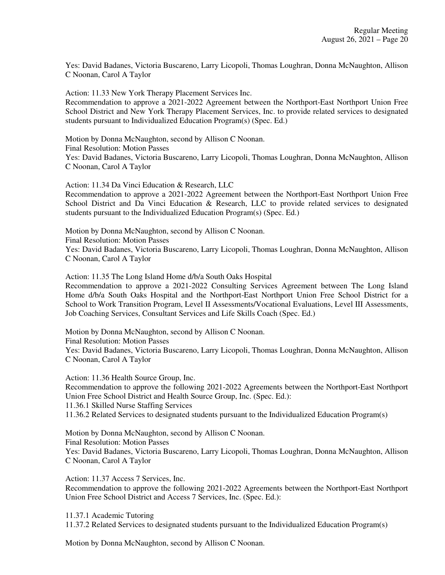Yes: David Badanes, Victoria Buscareno, Larry Licopoli, Thomas Loughran, Donna McNaughton, Allison C Noonan, Carol A Taylor

Action: 11.33 New York Therapy Placement Services Inc.

Recommendation to approve a 2021-2022 Agreement between the Northport-East Northport Union Free School District and New York Therapy Placement Services, Inc. to provide related services to designated students pursuant to Individualized Education Program(s) (Spec. Ed.)

Motion by Donna McNaughton, second by Allison C Noonan. Final Resolution: Motion Passes Yes: David Badanes, Victoria Buscareno, Larry Licopoli, Thomas Loughran, Donna McNaughton, Allison C Noonan, Carol A Taylor

Action: 11.34 Da Vinci Education & Research, LLC

Recommendation to approve a 2021-2022 Agreement between the Northport-East Northport Union Free School District and Da Vinci Education & Research, LLC to provide related services to designated students pursuant to the Individualized Education Program(s) (Spec. Ed.)

Motion by Donna McNaughton, second by Allison C Noonan. Final Resolution: Motion Passes Yes: David Badanes, Victoria Buscareno, Larry Licopoli, Thomas Loughran, Donna McNaughton, Allison C Noonan, Carol A Taylor

Action: 11.35 The Long Island Home d/b/a South Oaks Hospital

Recommendation to approve a 2021-2022 Consulting Services Agreement between The Long Island Home d/b/a South Oaks Hospital and the Northport-East Northport Union Free School District for a School to Work Transition Program, Level II Assessments/Vocational Evaluations, Level III Assessments, Job Coaching Services, Consultant Services and Life Skills Coach (Spec. Ed.)

Motion by Donna McNaughton, second by Allison C Noonan. Final Resolution: Motion Passes Yes: David Badanes, Victoria Buscareno, Larry Licopoli, Thomas Loughran, Donna McNaughton, Allison C Noonan, Carol A Taylor

Action: 11.36 Health Source Group, Inc. Recommendation to approve the following 2021-2022 Agreements between the Northport-East Northport Union Free School District and Health Source Group, Inc. (Spec. Ed.): 11.36.1 Skilled Nurse Staffing Services 11.36.2 Related Services to designated students pursuant to the Individualized Education Program(s)

Motion by Donna McNaughton, second by Allison C Noonan. Final Resolution: Motion Passes Yes: David Badanes, Victoria Buscareno, Larry Licopoli, Thomas Loughran, Donna McNaughton, Allison C Noonan, Carol A Taylor

Action: 11.37 Access 7 Services, Inc. Recommendation to approve the following 2021-2022 Agreements between the Northport-East Northport Union Free School District and Access 7 Services, Inc. (Spec. Ed.):

11.37.1 Academic Tutoring

11.37.2 Related Services to designated students pursuant to the Individualized Education Program(s)

Motion by Donna McNaughton, second by Allison C Noonan.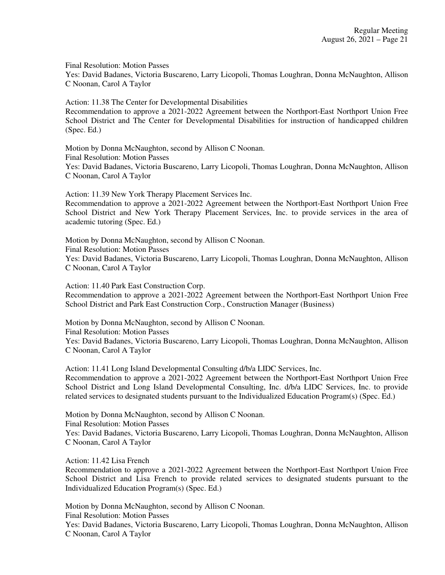Final Resolution: Motion Passes

Yes: David Badanes, Victoria Buscareno, Larry Licopoli, Thomas Loughran, Donna McNaughton, Allison C Noonan, Carol A Taylor

Action: 11.38 The Center for Developmental Disabilities Recommendation to approve a 2021-2022 Agreement between the Northport-East Northport Union Free School District and The Center for Developmental Disabilities for instruction of handicapped children (Spec. Ed.)

Motion by Donna McNaughton, second by Allison C Noonan. Final Resolution: Motion Passes Yes: David Badanes, Victoria Buscareno, Larry Licopoli, Thomas Loughran, Donna McNaughton, Allison C Noonan, Carol A Taylor

Action: 11.39 New York Therapy Placement Services Inc. Recommendation to approve a 2021-2022 Agreement between the Northport-East Northport Union Free School District and New York Therapy Placement Services, Inc. to provide services in the area of academic tutoring (Spec. Ed.)

Motion by Donna McNaughton, second by Allison C Noonan. Final Resolution: Motion Passes Yes: David Badanes, Victoria Buscareno, Larry Licopoli, Thomas Loughran, Donna McNaughton, Allison C Noonan, Carol A Taylor

Action: 11.40 Park East Construction Corp. Recommendation to approve a 2021-2022 Agreement between the Northport-East Northport Union Free School District and Park East Construction Corp., Construction Manager (Business)

Motion by Donna McNaughton, second by Allison C Noonan. Final Resolution: Motion Passes Yes: David Badanes, Victoria Buscareno, Larry Licopoli, Thomas Loughran, Donna McNaughton, Allison C Noonan, Carol A Taylor

Action: 11.41 Long Island Developmental Consulting d/b/a LIDC Services, Inc. Recommendation to approve a 2021-2022 Agreement between the Northport-East Northport Union Free School District and Long Island Developmental Consulting, Inc. d/b/a LIDC Services, Inc. to provide related services to designated students pursuant to the Individualized Education Program(s) (Spec. Ed.)

Motion by Donna McNaughton, second by Allison C Noonan. Final Resolution: Motion Passes Yes: David Badanes, Victoria Buscareno, Larry Licopoli, Thomas Loughran, Donna McNaughton, Allison C Noonan, Carol A Taylor

Action: 11.42 Lisa French

Recommendation to approve a 2021-2022 Agreement between the Northport-East Northport Union Free School District and Lisa French to provide related services to designated students pursuant to the Individualized Education Program(s) (Spec. Ed.)

Motion by Donna McNaughton, second by Allison C Noonan.

Final Resolution: Motion Passes

Yes: David Badanes, Victoria Buscareno, Larry Licopoli, Thomas Loughran, Donna McNaughton, Allison C Noonan, Carol A Taylor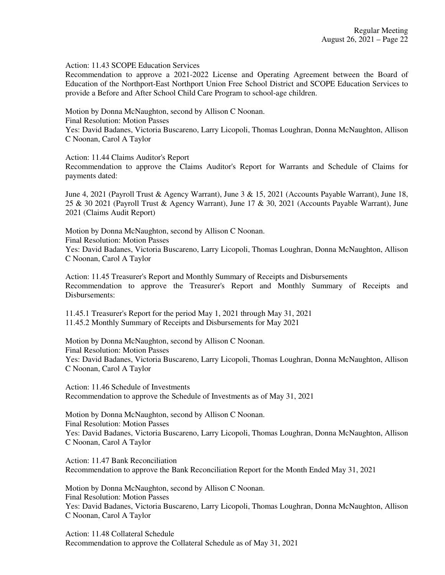Action: 11.43 SCOPE Education Services

Recommendation to approve a 2021-2022 License and Operating Agreement between the Board of Education of the Northport-East Northport Union Free School District and SCOPE Education Services to provide a Before and After School Child Care Program to school-age children.

Motion by Donna McNaughton, second by Allison C Noonan. Final Resolution: Motion Passes Yes: David Badanes, Victoria Buscareno, Larry Licopoli, Thomas Loughran, Donna McNaughton, Allison C Noonan, Carol A Taylor

Action: 11.44 Claims Auditor's Report

Recommendation to approve the Claims Auditor's Report for Warrants and Schedule of Claims for payments dated:

June 4, 2021 (Payroll Trust & Agency Warrant), June 3 & 15, 2021 (Accounts Payable Warrant), June 18, 25 & 30 2021 (Payroll Trust & Agency Warrant), June 17 & 30, 2021 (Accounts Payable Warrant), June 2021 (Claims Audit Report)

Motion by Donna McNaughton, second by Allison C Noonan. Final Resolution: Motion Passes Yes: David Badanes, Victoria Buscareno, Larry Licopoli, Thomas Loughran, Donna McNaughton, Allison C Noonan, Carol A Taylor

Action: 11.45 Treasurer's Report and Monthly Summary of Receipts and Disbursements Recommendation to approve the Treasurer's Report and Monthly Summary of Receipts and Disbursements:

11.45.1 Treasurer's Report for the period May 1, 2021 through May 31, 2021 11.45.2 Monthly Summary of Receipts and Disbursements for May 2021

Motion by Donna McNaughton, second by Allison C Noonan. Final Resolution: Motion Passes Yes: David Badanes, Victoria Buscareno, Larry Licopoli, Thomas Loughran, Donna McNaughton, Allison C Noonan, Carol A Taylor

Action: 11.46 Schedule of Investments Recommendation to approve the Schedule of Investments as of May 31, 2021

Motion by Donna McNaughton, second by Allison C Noonan. Final Resolution: Motion Passes Yes: David Badanes, Victoria Buscareno, Larry Licopoli, Thomas Loughran, Donna McNaughton, Allison C Noonan, Carol A Taylor

Action: 11.47 Bank Reconciliation Recommendation to approve the Bank Reconciliation Report for the Month Ended May 31, 2021

Motion by Donna McNaughton, second by Allison C Noonan. Final Resolution: Motion Passes Yes: David Badanes, Victoria Buscareno, Larry Licopoli, Thomas Loughran, Donna McNaughton, Allison C Noonan, Carol A Taylor

Action: 11.48 Collateral Schedule Recommendation to approve the Collateral Schedule as of May 31, 2021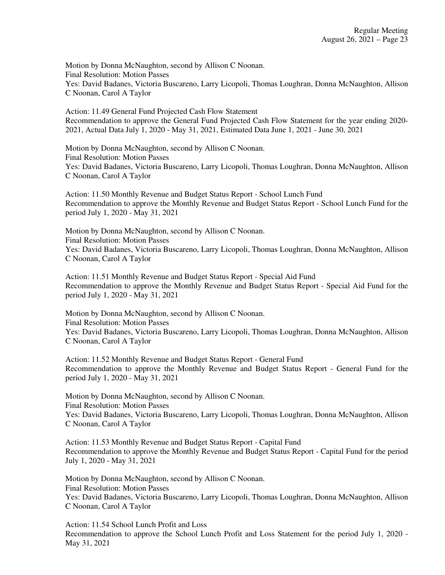Motion by Donna McNaughton, second by Allison C Noonan. Final Resolution: Motion Passes Yes: David Badanes, Victoria Buscareno, Larry Licopoli, Thomas Loughran, Donna McNaughton, Allison C Noonan, Carol A Taylor

Action: 11.49 General Fund Projected Cash Flow Statement Recommendation to approve the General Fund Projected Cash Flow Statement for the year ending 2020- 2021, Actual Data July 1, 2020 - May 31, 2021, Estimated Data June 1, 2021 - June 30, 2021

Motion by Donna McNaughton, second by Allison C Noonan. Final Resolution: Motion Passes Yes: David Badanes, Victoria Buscareno, Larry Licopoli, Thomas Loughran, Donna McNaughton, Allison C Noonan, Carol A Taylor

Action: 11.50 Monthly Revenue and Budget Status Report - School Lunch Fund Recommendation to approve the Monthly Revenue and Budget Status Report - School Lunch Fund for the period July 1, 2020 - May 31, 2021

Motion by Donna McNaughton, second by Allison C Noonan. Final Resolution: Motion Passes Yes: David Badanes, Victoria Buscareno, Larry Licopoli, Thomas Loughran, Donna McNaughton, Allison C Noonan, Carol A Taylor

Action: 11.51 Monthly Revenue and Budget Status Report - Special Aid Fund Recommendation to approve the Monthly Revenue and Budget Status Report - Special Aid Fund for the period July 1, 2020 - May 31, 2021

Motion by Donna McNaughton, second by Allison C Noonan. Final Resolution: Motion Passes Yes: David Badanes, Victoria Buscareno, Larry Licopoli, Thomas Loughran, Donna McNaughton, Allison C Noonan, Carol A Taylor

Action: 11.52 Monthly Revenue and Budget Status Report - General Fund Recommendation to approve the Monthly Revenue and Budget Status Report - General Fund for the period July 1, 2020 - May 31, 2021

Motion by Donna McNaughton, second by Allison C Noonan. Final Resolution: Motion Passes Yes: David Badanes, Victoria Buscareno, Larry Licopoli, Thomas Loughran, Donna McNaughton, Allison C Noonan, Carol A Taylor

Action: 11.53 Monthly Revenue and Budget Status Report - Capital Fund Recommendation to approve the Monthly Revenue and Budget Status Report - Capital Fund for the period July 1, 2020 - May 31, 2021

Motion by Donna McNaughton, second by Allison C Noonan. Final Resolution: Motion Passes Yes: David Badanes, Victoria Buscareno, Larry Licopoli, Thomas Loughran, Donna McNaughton, Allison C Noonan, Carol A Taylor

Action: 11.54 School Lunch Profit and Loss Recommendation to approve the School Lunch Profit and Loss Statement for the period July 1, 2020 - May 31, 2021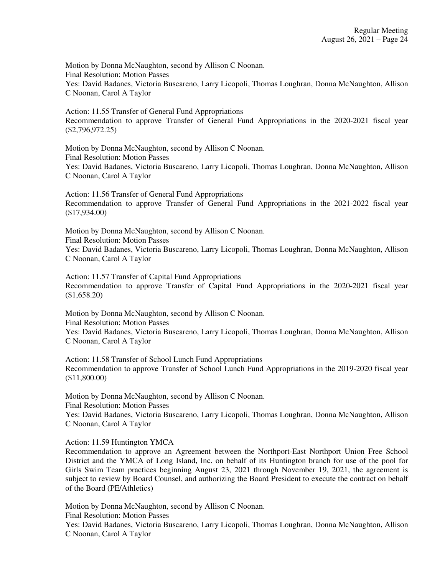Motion by Donna McNaughton, second by Allison C Noonan. Final Resolution: Motion Passes Yes: David Badanes, Victoria Buscareno, Larry Licopoli, Thomas Loughran, Donna McNaughton, Allison C Noonan, Carol A Taylor

Action: 11.55 Transfer of General Fund Appropriations Recommendation to approve Transfer of General Fund Appropriations in the 2020-2021 fiscal year (\$2,796,972.25)

Motion by Donna McNaughton, second by Allison C Noonan. Final Resolution: Motion Passes Yes: David Badanes, Victoria Buscareno, Larry Licopoli, Thomas Loughran, Donna McNaughton, Allison C Noonan, Carol A Taylor

Action: 11.56 Transfer of General Fund Appropriations Recommendation to approve Transfer of General Fund Appropriations in the 2021-2022 fiscal year (\$17,934.00)

Motion by Donna McNaughton, second by Allison C Noonan. Final Resolution: Motion Passes Yes: David Badanes, Victoria Buscareno, Larry Licopoli, Thomas Loughran, Donna McNaughton, Allison C Noonan, Carol A Taylor

Action: 11.57 Transfer of Capital Fund Appropriations Recommendation to approve Transfer of Capital Fund Appropriations in the 2020-2021 fiscal year (\$1,658.20)

Motion by Donna McNaughton, second by Allison C Noonan. Final Resolution: Motion Passes Yes: David Badanes, Victoria Buscareno, Larry Licopoli, Thomas Loughran, Donna McNaughton, Allison C Noonan, Carol A Taylor

Action: 11.58 Transfer of School Lunch Fund Appropriations Recommendation to approve Transfer of School Lunch Fund Appropriations in the 2019-2020 fiscal year (\$11,800.00)

Motion by Donna McNaughton, second by Allison C Noonan. Final Resolution: Motion Passes Yes: David Badanes, Victoria Buscareno, Larry Licopoli, Thomas Loughran, Donna McNaughton, Allison C Noonan, Carol A Taylor

Action: 11.59 Huntington YMCA

Recommendation to approve an Agreement between the Northport-East Northport Union Free School District and the YMCA of Long Island, Inc. on behalf of its Huntington branch for use of the pool for Girls Swim Team practices beginning August 23, 2021 through November 19, 2021, the agreement is subject to review by Board Counsel, and authorizing the Board President to execute the contract on behalf of the Board (PE/Athletics)

Motion by Donna McNaughton, second by Allison C Noonan.

Final Resolution: Motion Passes

Yes: David Badanes, Victoria Buscareno, Larry Licopoli, Thomas Loughran, Donna McNaughton, Allison C Noonan, Carol A Taylor